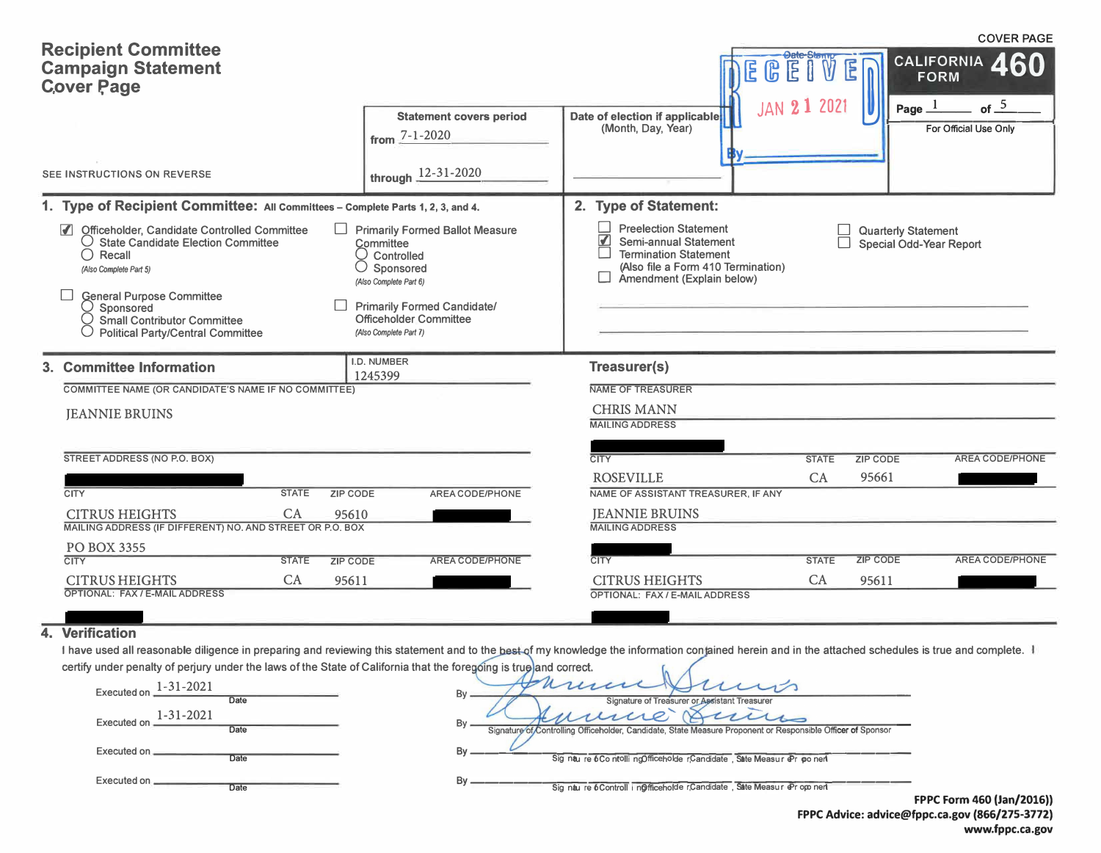| <b>Recipient Committee</b><br><b>Campaign Statement</b><br><b>Cover Page</b>                                                                                                                                                                                                                             | <b>Statement covers period</b>                                                                                                                                                                            | Date of election if applicable                                                                                                                                                      | <b>Date-Sterm</b><br>E<br>E<br>டு<br>Ē<br>202<br><b>JAN 21</b> | <b>COVER PAGE</b><br>CALIFORNIA 460<br><b>FORM</b><br>of $\frac{5}{2}$<br>Page $1$ |
|----------------------------------------------------------------------------------------------------------------------------------------------------------------------------------------------------------------------------------------------------------------------------------------------------------|-----------------------------------------------------------------------------------------------------------------------------------------------------------------------------------------------------------|-------------------------------------------------------------------------------------------------------------------------------------------------------------------------------------|----------------------------------------------------------------|------------------------------------------------------------------------------------|
|                                                                                                                                                                                                                                                                                                          | from $7 - 1 - 2020$                                                                                                                                                                                       | (Month, Day, Year)                                                                                                                                                                  |                                                                | For Official Use Only                                                              |
| SEE INSTRUCTIONS ON REVERSE                                                                                                                                                                                                                                                                              | through 12-31-2020                                                                                                                                                                                        |                                                                                                                                                                                     |                                                                |                                                                                    |
| 1. Type of Recipient Committee: All Committees - Complete Parts 1, 2, 3, and 4.                                                                                                                                                                                                                          |                                                                                                                                                                                                           | 2. Type of Statement:                                                                                                                                                               |                                                                |                                                                                    |
| $\blacksquare$<br>Officeholder, Candidate Controlled Committee<br>$\bigcirc$ State Candidate Election Committee<br>$\bigcirc$ Recall<br>(Also Complete Part 5)<br><b>General Purpose Committee</b><br>$\cup$ Sponsored<br><b>Small Contributor Committee</b><br><b>Political Party/Central Committee</b> | <b>Primarily Formed Ballot Measure</b><br>Committee<br>Controlled<br>Sponsored<br>(Also Complete Part 6)<br><b>Primarily Formed Candidate/</b><br><b>Officeholder Committee</b><br>(Also Complete Part 7) | <b>Preelection Statement</b><br>$\overline{\textbf{v}}$<br>Semi-annual Statement<br><b>Termination Statement</b><br>(Also file a Form 410 Termination)<br>Amendment (Explain below) |                                                                | <b>Quarterly Statement</b><br>Special Odd-Year Report                              |
| 3. Committee Information                                                                                                                                                                                                                                                                                 | I.D. NUMBER<br>1245399                                                                                                                                                                                    | Treasurer(s)                                                                                                                                                                        |                                                                |                                                                                    |
| COMMITTEE NAME (OR CANDIDATE'S NAME IF NO COMMITTEE)                                                                                                                                                                                                                                                     |                                                                                                                                                                                                           | NAME OF TREASURER                                                                                                                                                                   |                                                                |                                                                                    |
| <b>JEANNIE BRUINS</b>                                                                                                                                                                                                                                                                                    |                                                                                                                                                                                                           | <b>CHRIS MANN</b><br><b>MAILING ADDRESS</b>                                                                                                                                         |                                                                |                                                                                    |
| STREET ADDRESS (NO P.O. BOX)                                                                                                                                                                                                                                                                             |                                                                                                                                                                                                           | <b>CITY</b>                                                                                                                                                                         | <b>STATE</b>                                                   | <b>ZIP CODE</b><br>AREA CODE/PHONE                                                 |
|                                                                                                                                                                                                                                                                                                          |                                                                                                                                                                                                           | <b>ROSEVILLE</b>                                                                                                                                                                    | CA                                                             | 95661                                                                              |
| <b>CITY</b><br><b>ZIP CODE</b><br><b>STATE</b>                                                                                                                                                                                                                                                           | AREA CODE/PHONE                                                                                                                                                                                           | NAME OF ASSISTANT TREASURER, IF ANY                                                                                                                                                 |                                                                |                                                                                    |
| CA<br><b>CITRUS HEIGHTS</b><br>95610<br>MAILING ADDRESS (IF DIFFERENT) NO. AND STREET OR P.O. BOX                                                                                                                                                                                                        |                                                                                                                                                                                                           | <b>JEANNIE BRUINS</b><br><b>MAILING ADDRESS</b>                                                                                                                                     |                                                                |                                                                                    |
| PO BOX 3355                                                                                                                                                                                                                                                                                              |                                                                                                                                                                                                           |                                                                                                                                                                                     |                                                                |                                                                                    |
| <b>CITY</b><br><b>STATE</b><br><b>ZIP CODE</b><br><b>CITRUS HEIGHTS</b><br>CA<br>95611                                                                                                                                                                                                                   | <b>AREA CODE/PHONE</b>                                                                                                                                                                                    | <b>CITY</b><br><b>CITRUS HEIGHTS</b>                                                                                                                                                | <b>STATE</b><br>CA                                             | <b>AREA CODE/PHONE</b><br><b>ZIP CODE</b><br>95611                                 |
| OPTIONAL: FAX / E-MAIL ADDRESS                                                                                                                                                                                                                                                                           |                                                                                                                                                                                                           | OPTIONAL: FAX / E-MAIL ADDRESS                                                                                                                                                      |                                                                |                                                                                    |

## **4. Verification**

I have used all reasonable diligence in preparing and reviewing this statement and to the best-of my knowledge the information contained herein and in the attached schedules is true and complete. certify under penalty of perjury under the laws of the State of California that the foregoing is true and correct.  $\sqrt{2}$ 

| 1-31-2021<br><b>Executed on</b><br>Date | Bv<br>Signature of Treasurer or Assistant Treasurer                                                               |                           |
|-----------------------------------------|-------------------------------------------------------------------------------------------------------------------|---------------------------|
| 1-31-2021<br><b>Executed on</b><br>Date | Bv<br>Signature of Controlling Officeholder, Candidate, State Measure Proponent or Responsible Officer of Sponsor |                           |
| Executed on<br>Date                     | Sig nau re 6Co ntolli ngOfficeholde rCandidate, Sate Measur @r po neri                                            |                           |
| Executed on.<br>Date                    | Sig nau re 6 Controll i nofficeholde rCandidate Sate Measur @ r op nert                                           | FPPC Form 460 (Jan/2016)) |

**FPPC Advice: advice@fppc.ca.gov {866/275-3772) www.fppc.ca.gov**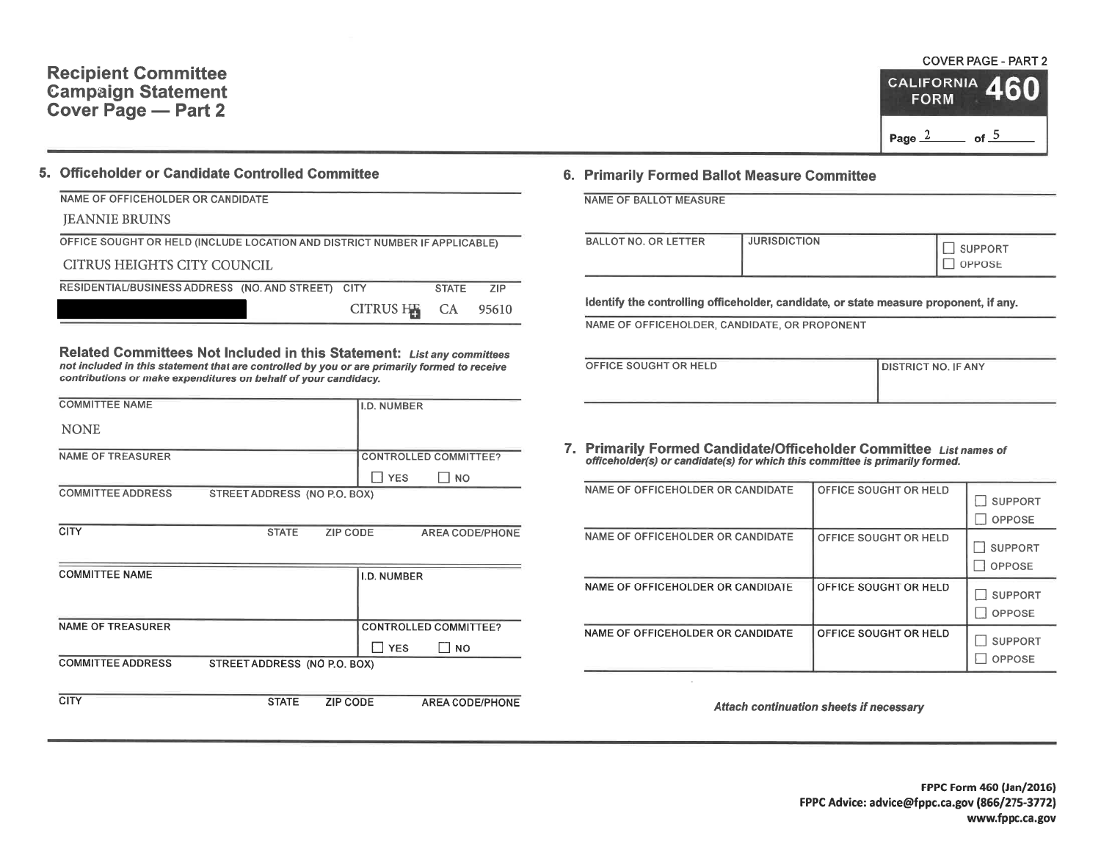## **Recipient Committee Campaign Statement** Cover Page - Part 2

## 5. Officeholder or Candidate Controlled Committee

#### NAME OF OFFICEHOLDER OR CANDIDATE **JEANNIE BRUINS** OFFICE SOUGHT OR HELD (INCLUDE LOCATION AND DISTRICT NUMBER IF APPLICABLE) CITRUS HEIGHTS CITY COUNCIL RESIDENTIAL/BUSINESS ADDRESS (NO. AND STREET) CITY **STATE**  $ZIP$ CITRUS HE  $CA$ 95610

Related Committees Not Included in this Statement: List any committees not included in this statement that are controlled by you or are primarily formed to receive contributions or make expenditures on behalf of your candidacy.

| <b>COMMITTEE NAME</b>    |                              |                 | <b>I.D. NUMBER</b> |                              |
|--------------------------|------------------------------|-----------------|--------------------|------------------------------|
| <b>NONE</b>              |                              |                 |                    |                              |
| <b>NAME OF TREASURER</b> |                              |                 |                    | <b>CONTROLLED COMMITTEE?</b> |
|                          |                              |                 | YES <sup></sup>    | l I no                       |
| <b>COMMITTEE ADDRESS</b> | STREET ADDRESS (NO P.O. BOX) |                 |                    |                              |
|                          |                              |                 |                    |                              |
| <b>CITY</b>              | <b>STATE</b>                 | ZIP CODE        |                    | <b>AREA CODE/PHONE</b>       |
|                          |                              |                 |                    |                              |
| <b>COMMITTEE NAME</b>    |                              |                 | <b>I.D. NUMBER</b> |                              |
|                          |                              |                 |                    |                              |
|                          |                              |                 |                    |                              |
| <b>NAME OF TREASURER</b> |                              |                 |                    | <b>CONTROLLED COMMITTEE?</b> |
|                          |                              |                 | <b>TYES</b>        | $\Box$ No                    |
| <b>COMMITTEE ADDRESS</b> | STREET ADDRESS (NO P.O. BOX) |                 |                    |                              |
|                          |                              |                 |                    |                              |
| <b>CITY</b>              | <b>STATE</b>                 | <b>ZIP CODE</b> |                    | <b>AREA CODE/PHONE</b>       |
|                          |                              |                 |                    |                              |

## 6. Primarily Formed Ballot Measure Committee

|  |  |  | NAME OF BALLOT MEASURE |  |
|--|--|--|------------------------|--|
|--|--|--|------------------------|--|

| <b>BALLOT NO. OR LETTER</b> | <b>JURISDICTION</b> | <b>SUPPORT</b><br>OPPOSE |
|-----------------------------|---------------------|--------------------------|
|-----------------------------|---------------------|--------------------------|

Identify the controlling officeholder, candidate, or state measure proponent, if any.

NAME OF OFFICEHOLDER, CANDIDATE, OR PROPONENT

| OFFICE SOUGHT OR HELD | DISTRICT NO. IF ANY |
|-----------------------|---------------------|
|                       |                     |
|                       |                     |
|                       |                     |

7. Primarily Formed Candidate/Officeholder Committee List names of officeholder(s) or candidate(s) for which this committee is primarily formed.

| NAME OF OFFICEHOLDER OR CANDIDATE | OFFICE SOUGHT OR HELD | <b>SUPPORT</b><br>OPPOSE        |
|-----------------------------------|-----------------------|---------------------------------|
| NAME OF OFFICEHOLDER OR CANDIDATE | OFFICE SOUGHT OR HELD | <b>SUPPORT</b><br>OPPOSE        |
| NAME OF OFFICEHOLDER OR CANDIDATE | OFFICE SOUGHT OR HELD | <b>SUPPORT</b><br><b>OPPOSE</b> |
| NAME OF OFFICEHOLDER OR CANDIDATE | OFFICE SOUGHT OR HELD | <b>SUPPORT</b><br><b>OPPOSE</b> |

Attach continuation sheets if necessary

# **COVER PAGE - PART 2**

of  $-5$ 

**CALIFORNIA** 

**FORM** 

Page  $2$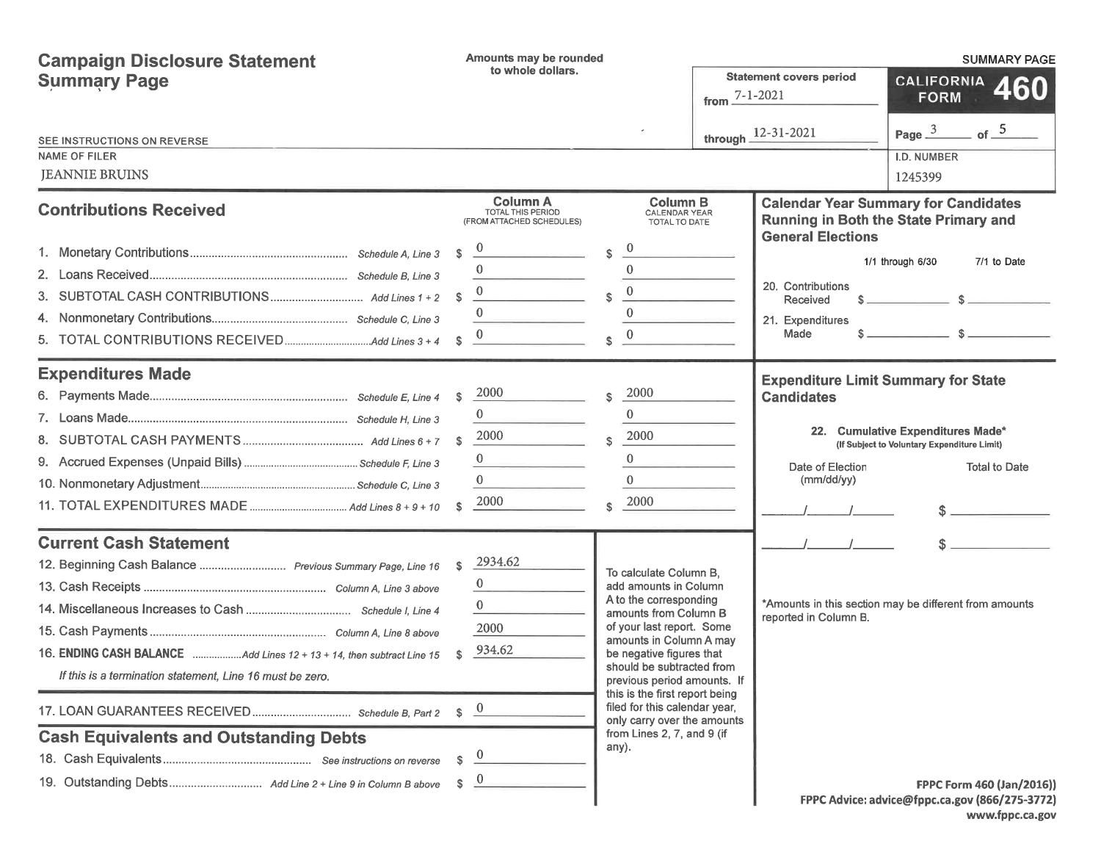| <b>Campaign Disclosure Statement</b>                                                                                                                                                                                                                                               | Amounts may be rounded                                                                                                              |                                                                                                                                                                                                                                                                                                                                                                                             |                           | <b>SUMMARY PAGE</b>                                                                               |                                                                                                          |  |  |
|------------------------------------------------------------------------------------------------------------------------------------------------------------------------------------------------------------------------------------------------------------------------------------|-------------------------------------------------------------------------------------------------------------------------------------|---------------------------------------------------------------------------------------------------------------------------------------------------------------------------------------------------------------------------------------------------------------------------------------------------------------------------------------------------------------------------------------------|---------------------------|---------------------------------------------------------------------------------------------------|----------------------------------------------------------------------------------------------------------|--|--|
| <b>Summary Page</b>                                                                                                                                                                                                                                                                | to whole dollars.                                                                                                                   |                                                                                                                                                                                                                                                                                                                                                                                             | from $\frac{7-1-2021}{2}$ | <b>Statement covers period</b>                                                                    | CALIFORNIA 460<br><b>FORM</b>                                                                            |  |  |
| SEE INSTRUCTIONS ON REVERSE<br><b>NAME OF FILER</b><br><b>JEANNIE BRUINS</b>                                                                                                                                                                                                       |                                                                                                                                     |                                                                                                                                                                                                                                                                                                                                                                                             |                           | through $12 - 31 - 2021$                                                                          | of $-5$<br>Page $3$<br>I.D. NUMBER<br>1245399                                                            |  |  |
| <b>Contributions Received</b>                                                                                                                                                                                                                                                      | <b>Column A</b><br><b>TOTAL THIS PERIOD</b><br>(FROM ATTACHED SCHEDULES)                                                            | <b>Column B</b><br><b>CALENDAR YEAR</b><br>TOTAL TO DATE                                                                                                                                                                                                                                                                                                                                    |                           | <b>General Elections</b>                                                                          | <b>Calendar Year Summary for Candidates</b><br>Running in Both the State Primary and                     |  |  |
|                                                                                                                                                                                                                                                                                    | \$<br>$\mathbf{\hat{s}}$<br>$\Omega$<br>S.                                                                                          | $\mathbf{0}$<br>\$<br>$\Omega$<br>$\mathbf{0}$<br>$\mathbf{\hat{s}}$<br>$\theta$<br>$\Omega$<br>\$.                                                                                                                                                                                                                                                                                         |                           | 20. Contributions<br>Received<br>21. Expenditures<br>Made                                         | 1/1 through 6/30<br>7/1 to Date<br>$s \sim s$                                                            |  |  |
| <b>Expenditures Made</b>                                                                                                                                                                                                                                                           | 2000<br>S.<br>2000<br><b>S</b><br>$\mathbf{0}$<br>2000<br>$\mathbf{s}$                                                              | 2000<br>$\mathbf{\hat{s}}$<br>$\theta$<br>2000<br>\$.<br>$\mathbf{0}$<br>$\Omega$<br>2000<br>\$.                                                                                                                                                                                                                                                                                            |                           | <b>Expenditure Limit Summary for State</b><br><b>Candidates</b><br>Date of Election<br>(mm/dd/yy) | 22. Cumulative Expenditures Made*<br>(If Subject to Voluntary Expenditure Limit)<br><b>Total to Date</b> |  |  |
| <b>Current Cash Statement</b><br>12. Beginning Cash Balance  Previous Summary Page, Line 16<br>16. ENDING CASH BALANCE Add Lines 12 + 13 + 14, then subtract Line 15<br>If this is a termination statement, Line 16 must be zero.<br><b>Cash Equivalents and Outstanding Debts</b> | 2934.62<br>s.<br>$\bf{0}$<br>$\bf{0}$<br>2000<br>934.62<br>\$<br>$\frac{0}{\sqrt{2}}$<br>$\mathbb{S}$<br>\$<br>$\overline{0}$<br>s. | To calculate Column B.<br>add amounts in Column<br>A to the corresponding<br>amounts from Column B<br>of your last report. Some<br>amounts in Column A may<br>be negative figures that<br>should be subtracted from<br>previous period amounts. If<br>this is the first report being<br>filed for this calendar year,<br>only carry over the amounts<br>from Lines 2, 7, and 9 (if<br>any). |                           | reported in Column B.                                                                             | *Amounts in this section may be different from amounts<br><b>FPPC Form 460 (Jan/2016))</b>               |  |  |
|                                                                                                                                                                                                                                                                                    |                                                                                                                                     |                                                                                                                                                                                                                                                                                                                                                                                             |                           |                                                                                                   | FPPC Advice: advice@fppc.ca.gov (866/275-3772)                                                           |  |  |

www.fppc.ca.gov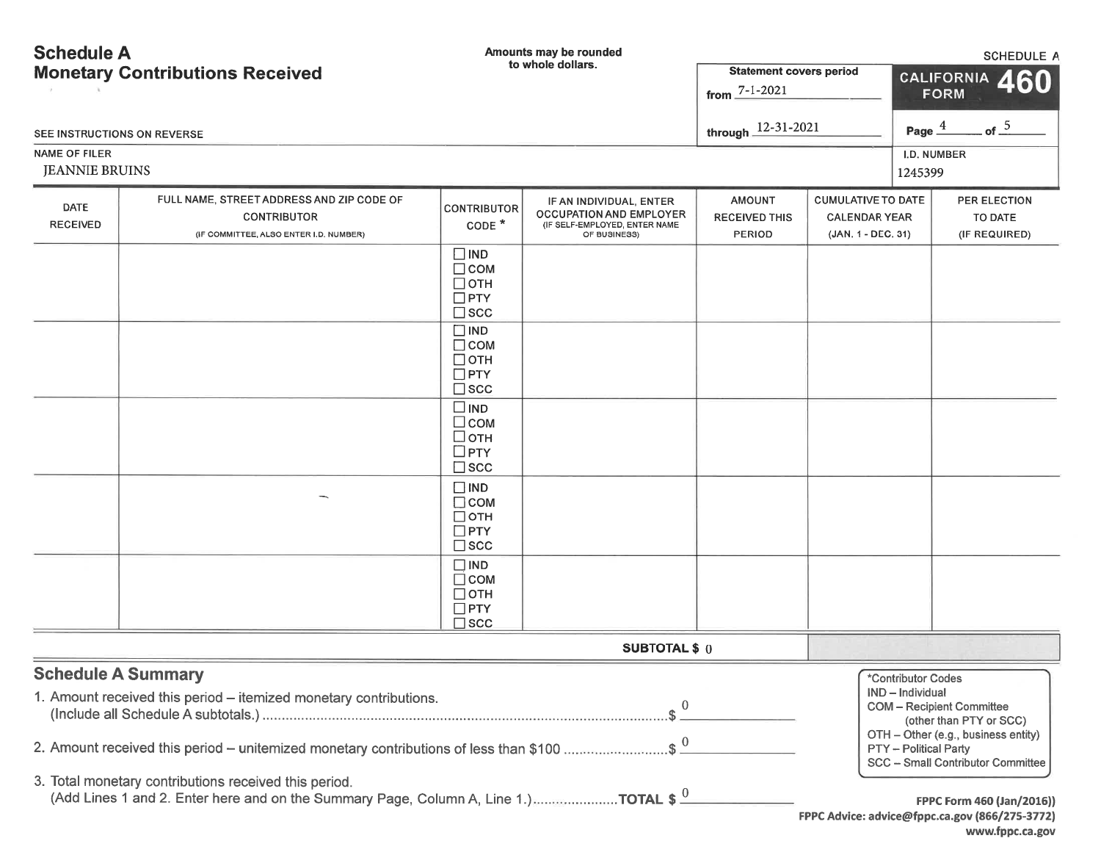| <b>Schedule A</b>                                           |                                                                                                                                                                             |                                                                       | Amounts may be rounded                                                                                     |                                                        |                                                                         | <b>SCHEDULE A</b>                                               |                                                                                                                                         |  |
|-------------------------------------------------------------|-----------------------------------------------------------------------------------------------------------------------------------------------------------------------------|-----------------------------------------------------------------------|------------------------------------------------------------------------------------------------------------|--------------------------------------------------------|-------------------------------------------------------------------------|-----------------------------------------------------------------|-----------------------------------------------------------------------------------------------------------------------------------------|--|
| to whole dollars.<br><b>Monetary Contributions Received</b> |                                                                                                                                                                             |                                                                       |                                                                                                            | <b>Statement covers period</b><br>from $7 - 1 - 2021$  |                                                                         | <b>CALIFORNIA</b><br>460<br><b>FORM</b>                         |                                                                                                                                         |  |
| SEE INSTRUCTIONS ON REVERSE                                 |                                                                                                                                                                             |                                                                       |                                                                                                            | through $12 - 31 - 2021$                               |                                                                         | Page $\frac{4}{5}$                                              | of $-$ <sup>5</sup>                                                                                                                     |  |
| <b>NAME OF FILER</b><br><b>JEANNIE BRUINS</b>               |                                                                                                                                                                             |                                                                       |                                                                                                            |                                                        |                                                                         | 1245399                                                         | I.D. NUMBER                                                                                                                             |  |
| DATE<br><b>RECEIVED</b>                                     | FULL NAME, STREET ADDRESS AND ZIP CODE OF<br><b>CONTRIBUTOR</b><br>(IF COMMITTEE, ALSO ENTER I.D. NUMBER)                                                                   | <b>CONTRIBUTOR</b><br>CODE <sup>*</sup>                               | IF AN INDIVIDUAL, ENTER<br><b>OCCUPATION AND EMPLOYER</b><br>(IF SELF-EMPLOYED, ENTER NAME<br>OF BUSINESS) | <b>AMOUNT</b><br><b>RECEIVED THIS</b><br><b>PERIOD</b> | <b>CUMULATIVE TO DATE</b><br><b>CALENDAR YEAR</b><br>(JAN. 1 - DEC. 31) |                                                                 | PER ELECTION<br>TO DATE<br>(IF REQUIRED)                                                                                                |  |
|                                                             |                                                                                                                                                                             | $\Box$ IND<br>$\Box$ COM<br>$\Box$ OTH<br>$\Box$ PTY<br>$\square$ scc |                                                                                                            |                                                        |                                                                         |                                                                 |                                                                                                                                         |  |
|                                                             |                                                                                                                                                                             | $\Box$ IND<br>$\Box$ COM<br>$\Box$ OTH<br>$\Box$ PTY<br>$\square$ scc |                                                                                                            |                                                        |                                                                         |                                                                 |                                                                                                                                         |  |
|                                                             |                                                                                                                                                                             | $\square$ IND<br>$\Box$ COM<br>□отн<br>$\square$ PTY<br>$\square$ scc |                                                                                                            |                                                        |                                                                         |                                                                 |                                                                                                                                         |  |
|                                                             |                                                                                                                                                                             | $\Box$ IND<br>$\Box$ COM<br>$\Box$ OTH<br>$\Box$ PTY<br>$\square$ scc |                                                                                                            |                                                        |                                                                         |                                                                 |                                                                                                                                         |  |
|                                                             |                                                                                                                                                                             | $\Box$ IND<br>$\Box$ COM<br>$\Box$ OTH<br>$\Box$ PTY<br>$\square$ scc |                                                                                                            |                                                        |                                                                         |                                                                 |                                                                                                                                         |  |
|                                                             |                                                                                                                                                                             |                                                                       | <b>SUBTOTAL \$ 0</b>                                                                                       |                                                        |                                                                         |                                                                 |                                                                                                                                         |  |
| <b>Schedule A Summary</b>                                   | 1. Amount received this period - itemized monetary contributions.<br>2. Amount received this period – unitemized monetary contributions of less than \$100 \$ $\frac{0}{2}$ |                                                                       | $\theta$                                                                                                   |                                                        |                                                                         | *Contributor Codes<br>IND - Individual<br>PTY - Political Party | <b>COM</b> - Recipient Committee<br>(other than PTY or SCC)<br>OTH - Other (e.g., business entity)<br>SCC - Small Contributor Committee |  |
|                                                             | 3. Total monetary contributions received this period.<br>(Add Lines 1 and 2. Enter here and on the Summary Page, Column A, Line 1.)TOTAL \$ $\frac{0}{2}$                   |                                                                       |                                                                                                            |                                                        |                                                                         |                                                                 | FPPC Form 460 (Jan/2016))<br>FPPC Advice: advice@fppc.ca.gov (866/275-3772)<br>www.fppc.ca.gov                                          |  |